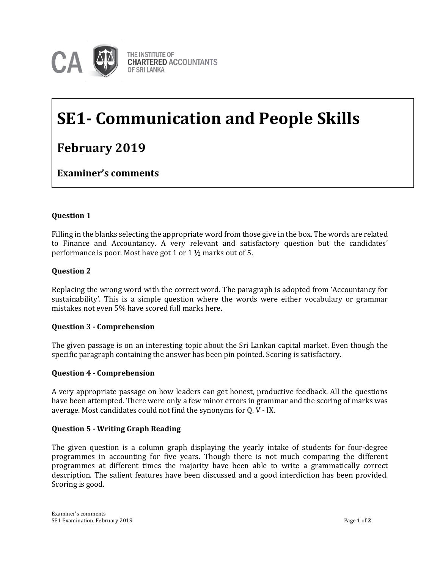

# **SE1- Communication and People Skills**

# **February 2019**

**Examiner's comments**

# **Question 1**

Filling in the blanks selecting the appropriate word from those give in the box. The words are related to Finance and Accountancy. A very relevant and satisfactory question but the candidates' performance is poor. Most have got 1 or 1 ½ marks out of 5.

# **Question 2**

Replacing the wrong word with the correct word. The paragraph is adopted from 'Accountancy for sustainability'. This is a simple question where the words were either vocabulary or grammar mistakes not even 5% have scored full marks here.

# **Question 3 - Comprehension**

The given passage is on an interesting topic about the Sri Lankan capital market. Even though the specific paragraph containing the answer has been pin pointed. Scoring is satisfactory.

#### **Question 4 - Comprehension**

A very appropriate passage on how leaders can get honest, productive feedback. All the questions have been attempted. There were only a few minor errors in grammar and the scoring of marks was average. Most candidates could not find the synonyms for Q. V - IX.

# **Question 5 - Writing Graph Reading**

The given question is a column graph displaying the yearly intake of students for four-degree programmes in accounting for five years. Though there is not much comparing the different programmes at different times the majority have been able to write a grammatically correct description. The salient features have been discussed and a good interdiction has been provided. Scoring is good.